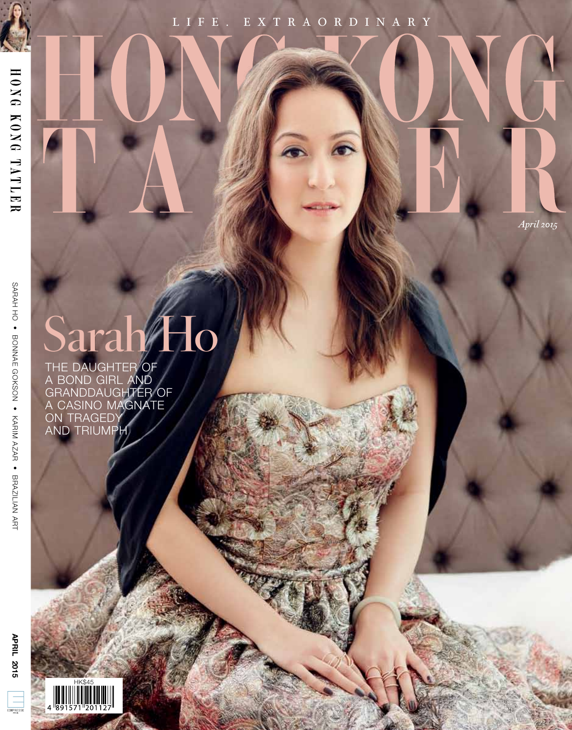# L I F E . E X T R A O R D I N A R Y

*April 2015*

Sarah/Ho

The daughter of a Bond Girl and granddaughter of a casino magnate on tragedy and triumph

 $\begin{tabular}{|c|c|} \hline \quad \quad & \quad \quad & \quad \quad \\ \hline \quad \quad & \quad \quad & \quad \quad \\ \hline \quad \quad & \quad \quad & \quad \quad \\ \hline \quad \quad & \quad \quad & \quad \quad \\ \hline \quad \quad & \quad \quad & \quad \quad \\ \hline \quad \quad & \quad \quad & \quad \quad \\ \hline \quad \quad & \quad \quad & \quad \quad \\ \hline \quad \quad & \quad \quad & \quad \quad \\ \hline \quad \quad & \quad \quad & \quad \quad \\ \hline \quad \quad & \quad \quad & \quad \quad \\ \hline \quad \quad & \quad \quad & \quad \quad \\ \hline \quad \quad & \quad$ 

sarah ho • bonnae gokson • karim azar • brazilian art

SARAH HO • BONNAE GOKSON • KARIM AZAR • BRAZILIAN ART